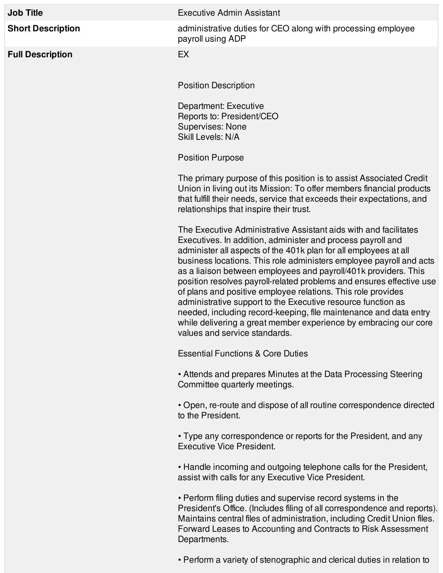| <b>Job Title</b>         | <b>Executive Admin Assistant</b>                                                                                                                                                                                                                                                                                                                                                                                                                                                                                                                                                                                                                                                                                                |
|--------------------------|---------------------------------------------------------------------------------------------------------------------------------------------------------------------------------------------------------------------------------------------------------------------------------------------------------------------------------------------------------------------------------------------------------------------------------------------------------------------------------------------------------------------------------------------------------------------------------------------------------------------------------------------------------------------------------------------------------------------------------|
| <b>Short Description</b> | administrative duties for CEO along with processing employee<br>payroll using ADP                                                                                                                                                                                                                                                                                                                                                                                                                                                                                                                                                                                                                                               |
| <b>Full Description</b>  | EX                                                                                                                                                                                                                                                                                                                                                                                                                                                                                                                                                                                                                                                                                                                              |
|                          | <b>Position Description</b>                                                                                                                                                                                                                                                                                                                                                                                                                                                                                                                                                                                                                                                                                                     |
|                          | Department: Executive<br>Reports to: President/CEO<br><b>Supervises: None</b><br>Skill Levels: N/A                                                                                                                                                                                                                                                                                                                                                                                                                                                                                                                                                                                                                              |
|                          | <b>Position Purpose</b>                                                                                                                                                                                                                                                                                                                                                                                                                                                                                                                                                                                                                                                                                                         |
|                          | The primary purpose of this position is to assist Associated Credit<br>Union in living out its Mission: To offer members financial products<br>that fulfill their needs, service that exceeds their expectations, and<br>relationships that inspire their trust.                                                                                                                                                                                                                                                                                                                                                                                                                                                                |
|                          | The Executive Administrative Assistant aids with and facilitates<br>Executives. In addition, administer and process payroll and<br>administer all aspects of the 401k plan for all employees at all<br>business locations. This role administers employee payroll and acts<br>as a liaison between employees and payroll/401k providers. This<br>position resolves payroll-related problems and ensures effective use<br>of plans and positive employee relations. This role provides<br>administrative support to the Executive resource function as<br>needed, including record-keeping, file maintenance and data entry<br>while delivering a great member experience by embracing our core<br>values and service standards. |
|                          | <b>Essential Functions &amp; Core Duties</b>                                                                                                                                                                                                                                                                                                                                                                                                                                                                                                                                                                                                                                                                                    |
|                          | • Attends and prepares Minutes at the Data Processing Steering<br>Committee quarterly meetings.                                                                                                                                                                                                                                                                                                                                                                                                                                                                                                                                                                                                                                 |
|                          | • Open, re-route and dispose of all routine correspondence directed<br>to the President.                                                                                                                                                                                                                                                                                                                                                                                                                                                                                                                                                                                                                                        |
|                          | • Type any correspondence or reports for the President, and any<br><b>Executive Vice President.</b>                                                                                                                                                                                                                                                                                                                                                                                                                                                                                                                                                                                                                             |
|                          | • Handle incoming and outgoing telephone calls for the President,<br>assist with calls for any Executive Vice President.                                                                                                                                                                                                                                                                                                                                                                                                                                                                                                                                                                                                        |
|                          | • Perform filing duties and supervise record systems in the<br>President's Office. (Includes filing of all correspondence and reports).<br>Maintains central files of administration, including Credit Union files.<br>Forward Leases to Accounting and Contracts to Risk Assessment<br>Departments.                                                                                                                                                                                                                                                                                                                                                                                                                            |

• Perform a variety of stenographic and clerical duties in relation to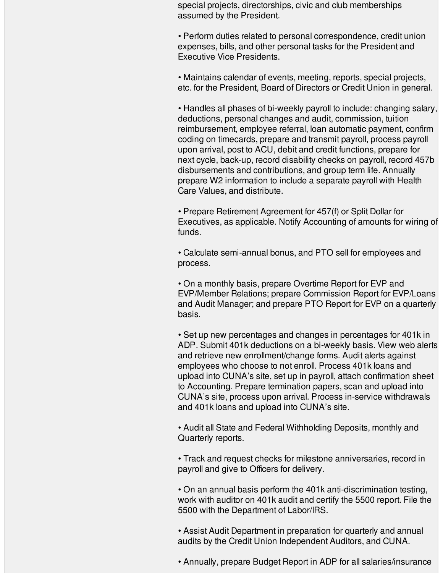special projects, directorships, civic and club memberships assumed by the President.

• Perform duties related to personal correspondence, credit union expenses, bills, and other personal tasks for the President and Executive Vice Presidents.

• Maintains calendar of events, meeting, reports, special projects, etc. for the President, Board of Directors or Credit Union in general.

• Handles all phases of bi-weekly payroll to include: changing salary, deductions, personal changes and audit, commission, tuition reimbursement, employee referral, loan automatic payment, confirm coding on timecards, prepare and transmit payroll, process payroll upon arrival, post to ACU, debit and credit functions, prepare for next cycle, back-up, record disability checks on payroll, record 457b disbursements and contributions, and group term life. Annually prepare W2 information to include a separate payroll with Health Care Values, and distribute.

• Prepare Retirement Agreement for 457(f) or Split Dollar for Executives, as applicable. Notify Accounting of amounts for wiring of funds.

• Calculate semi-annual bonus, and PTO sell for employees and process.

• On a monthly basis, prepare Overtime Report for EVP and EVP/Member Relations; prepare Commission Report for EVP/Loans and Audit Manager; and prepare PTO Report for EVP on a quarterly basis.

• Set up new percentages and changes in percentages for 401k in ADP. Submit 401k deductions on a bi-weekly basis. View web alerts and retrieve new enrollment/change forms. Audit alerts against employees who choose to not enroll. Process 401k loans and upload into CUNA's site, set up in payroll, attach confirmation sheet to Accounting. Prepare termination papers, scan and upload into CUNA's site, process upon arrival. Process in-service withdrawals and 401k loans and upload into CUNA's site.

• Audit all State and Federal Withholding Deposits, monthly and Quarterly reports.

• Track and request checks for milestone anniversaries, record in payroll and give to Officers for delivery.

• On an annual basis perform the 401k anti-discrimination testing, work with auditor on 401k audit and certify the 5500 report. File the 5500 with the Department of Labor/IRS.

• Assist Audit Department in preparation for quarterly and annual audits by the Credit Union Independent Auditors, and CUNA.

• Annually, prepare Budget Report in ADP for all salaries/insurance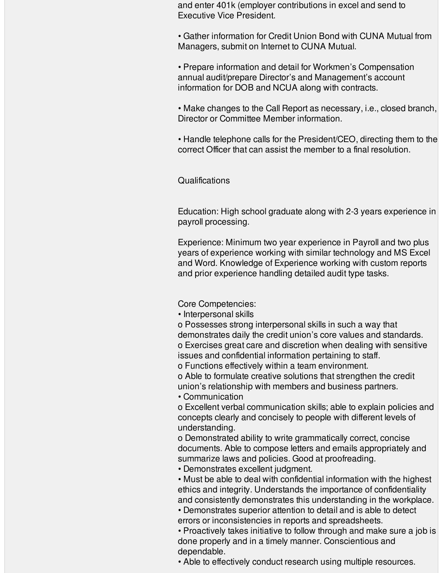and enter 401k (employer contributions in excel and send to Executive Vice President.

• Gather information for Credit Union Bond with CUNA Mutual from Managers, submit on Internet to CUNA Mutual.

• Prepare information and detail for Workmen's Compensation annual audit/prepare Director's and Management's account information for DOB and NCUA along with contracts.

• Make changes to the Call Report as necessary, i.e., closed branch, Director or Committee Member information.

• Handle telephone calls for the President/CEO, directing them to the correct Officer that can assist the member to a final resolution.

## **Qualifications**

Education: High school graduate along with 2-3 years experience in payroll processing.

Experience: Minimum two year experience in Payroll and two plus years of experience working with similar technology and MS Excel and Word. Knowledge of Experience working with custom reports and prior experience handling detailed audit type tasks.

Core Competencies:

• Interpersonal skills

o Possesses strong interpersonal skills in such a way that demonstrates daily the credit union's core values and standards. o Exercises great care and discretion when dealing with sensitive issues and confidential information pertaining to staff.

o Functions effectively within a team environment.

o Able to formulate creative solutions that strengthen the credit union's relationship with members and business partners.

• Communication

o Excellent verbal communication skills; able to explain policies and concepts clearly and concisely to people with different levels of understanding.

o Demonstrated ability to write grammatically correct, concise documents. Able to compose letters and emails appropriately and summarize laws and policies. Good at proofreading.

• Demonstrates excellent judgment.

• Must be able to deal with confidential information with the highest ethics and integrity. Understands the importance of confidentiality and consistently demonstrates this understanding in the workplace.

• Demonstrates superior attention to detail and is able to detect errors or inconsistencies in reports and spreadsheets.

• Proactively takes initiative to follow through and make sure a job is done properly and in a timely manner. Conscientious and dependable.

• Able to effectively conduct research using multiple resources.